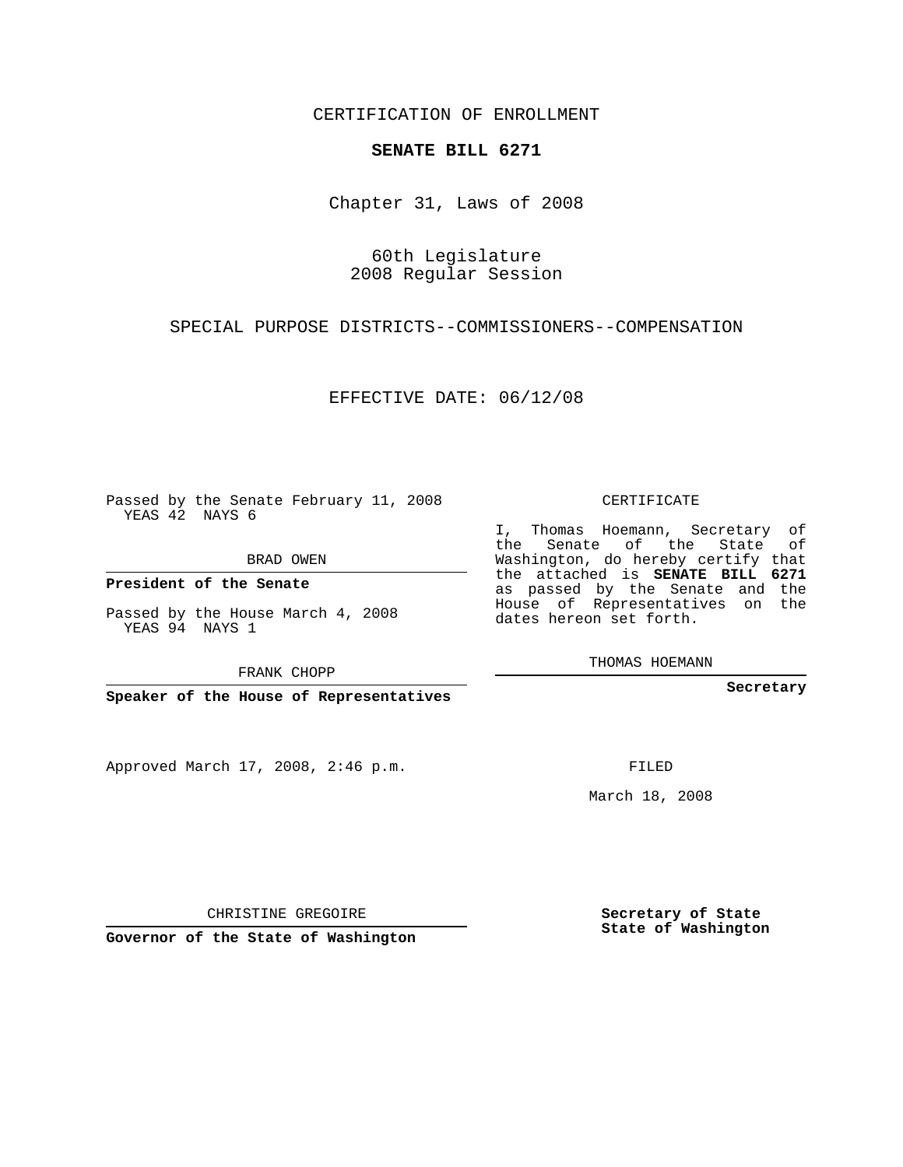CERTIFICATION OF ENROLLMENT

## **SENATE BILL 6271**

Chapter 31, Laws of 2008

60th Legislature 2008 Regular Session

SPECIAL PURPOSE DISTRICTS--COMMISSIONERS--COMPENSATION

EFFECTIVE DATE: 06/12/08

Passed by the Senate February 11, 2008 YEAS 42 NAYS 6

BRAD OWEN

**President of the Senate**

Passed by the House March 4, 2008 YEAS 94 NAYS 1

FRANK CHOPP

**Speaker of the House of Representatives**

Approved March 17, 2008, 2:46 p.m.

CERTIFICATE

I, Thomas Hoemann, Secretary of the Senate of the State of Washington, do hereby certify that the attached is **SENATE BILL 6271** as passed by the Senate and the House of Representatives on the dates hereon set forth.

THOMAS HOEMANN

**Secretary**

FILED

March 18, 2008

CHRISTINE GREGOIRE

**Governor of the State of Washington**

**Secretary of State State of Washington**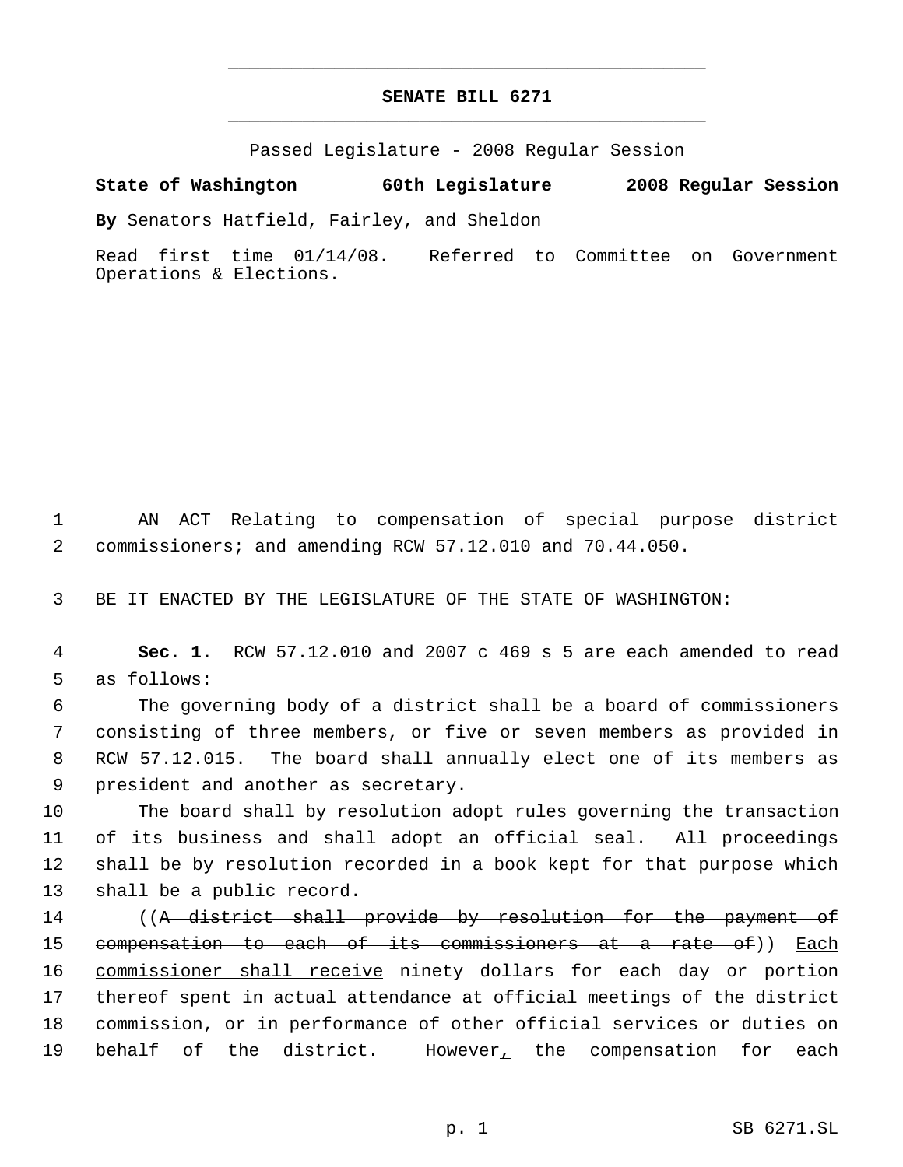## **SENATE BILL 6271** \_\_\_\_\_\_\_\_\_\_\_\_\_\_\_\_\_\_\_\_\_\_\_\_\_\_\_\_\_\_\_\_\_\_\_\_\_\_\_\_\_\_\_\_\_

\_\_\_\_\_\_\_\_\_\_\_\_\_\_\_\_\_\_\_\_\_\_\_\_\_\_\_\_\_\_\_\_\_\_\_\_\_\_\_\_\_\_\_\_\_

Passed Legislature - 2008 Regular Session

**State of Washington 60th Legislature 2008 Regular Session**

**By** Senators Hatfield, Fairley, and Sheldon

Read first time 01/14/08. Referred to Committee on Government Operations & Elections.

 1 AN ACT Relating to compensation of special purpose district 2 commissioners; and amending RCW 57.12.010 and 70.44.050.

3 BE IT ENACTED BY THE LEGISLATURE OF THE STATE OF WASHINGTON:

 4 **Sec. 1.** RCW 57.12.010 and 2007 c 469 s 5 are each amended to read 5 as follows:

 The governing body of a district shall be a board of commissioners consisting of three members, or five or seven members as provided in RCW 57.12.015. The board shall annually elect one of its members as president and another as secretary.

 The board shall by resolution adopt rules governing the transaction of its business and shall adopt an official seal. All proceedings shall be by resolution recorded in a book kept for that purpose which shall be a public record.

14 ((A district shall provide by resolution for the payment of 15 compensation to each of its commissioners at a rate of)) Each 16 commissioner shall receive ninety dollars for each day or portion 17 thereof spent in actual attendance at official meetings of the district 18 commission, or in performance of other official services or duties on 19 behalf of the district. However<sub>1</sub> the compensation for each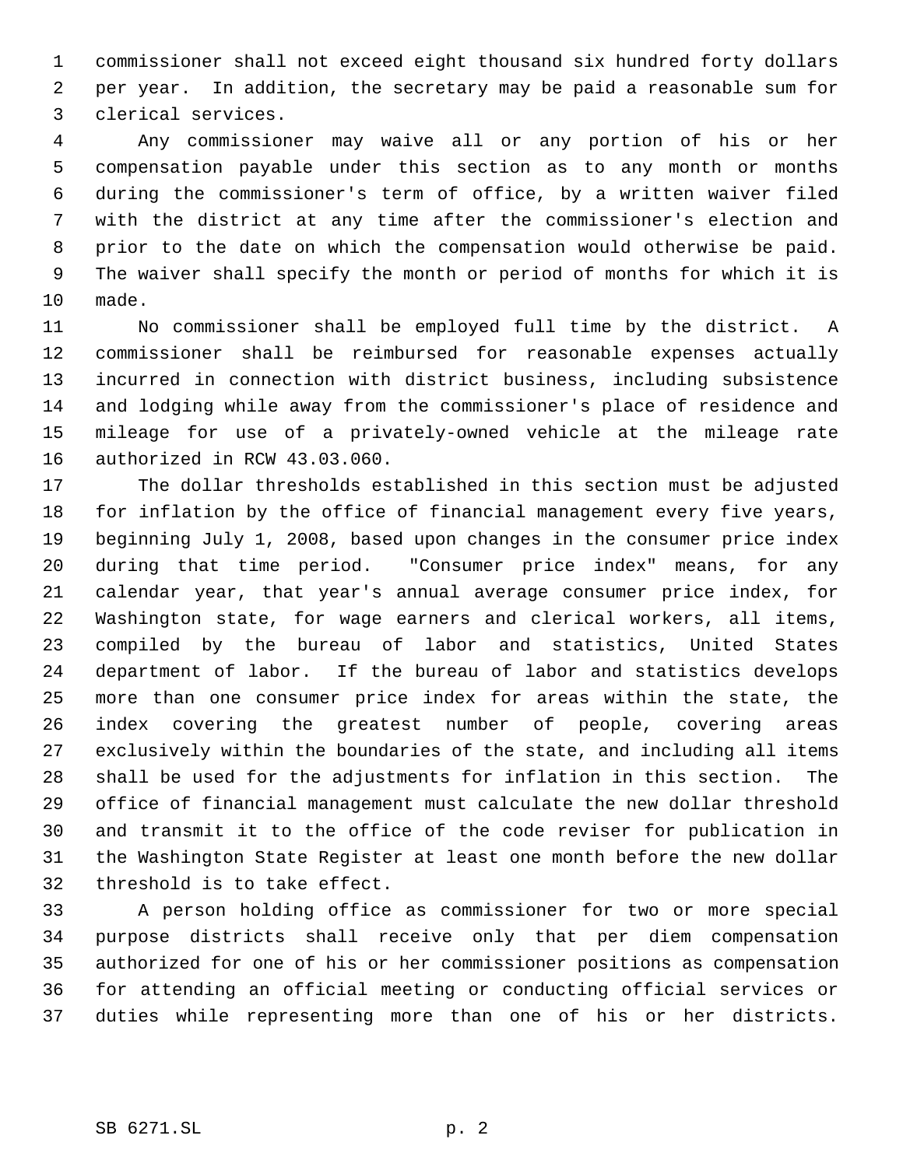commissioner shall not exceed eight thousand six hundred forty dollars per year. In addition, the secretary may be paid a reasonable sum for clerical services.

 Any commissioner may waive all or any portion of his or her compensation payable under this section as to any month or months during the commissioner's term of office, by a written waiver filed with the district at any time after the commissioner's election and prior to the date on which the compensation would otherwise be paid. The waiver shall specify the month or period of months for which it is made.

 No commissioner shall be employed full time by the district. A commissioner shall be reimbursed for reasonable expenses actually incurred in connection with district business, including subsistence and lodging while away from the commissioner's place of residence and mileage for use of a privately-owned vehicle at the mileage rate authorized in RCW 43.03.060.

 The dollar thresholds established in this section must be adjusted for inflation by the office of financial management every five years, beginning July 1, 2008, based upon changes in the consumer price index during that time period. "Consumer price index" means, for any calendar year, that year's annual average consumer price index, for Washington state, for wage earners and clerical workers, all items, compiled by the bureau of labor and statistics, United States department of labor. If the bureau of labor and statistics develops more than one consumer price index for areas within the state, the index covering the greatest number of people, covering areas exclusively within the boundaries of the state, and including all items shall be used for the adjustments for inflation in this section. The office of financial management must calculate the new dollar threshold and transmit it to the office of the code reviser for publication in the Washington State Register at least one month before the new dollar threshold is to take effect.

 A person holding office as commissioner for two or more special purpose districts shall receive only that per diem compensation authorized for one of his or her commissioner positions as compensation for attending an official meeting or conducting official services or duties while representing more than one of his or her districts.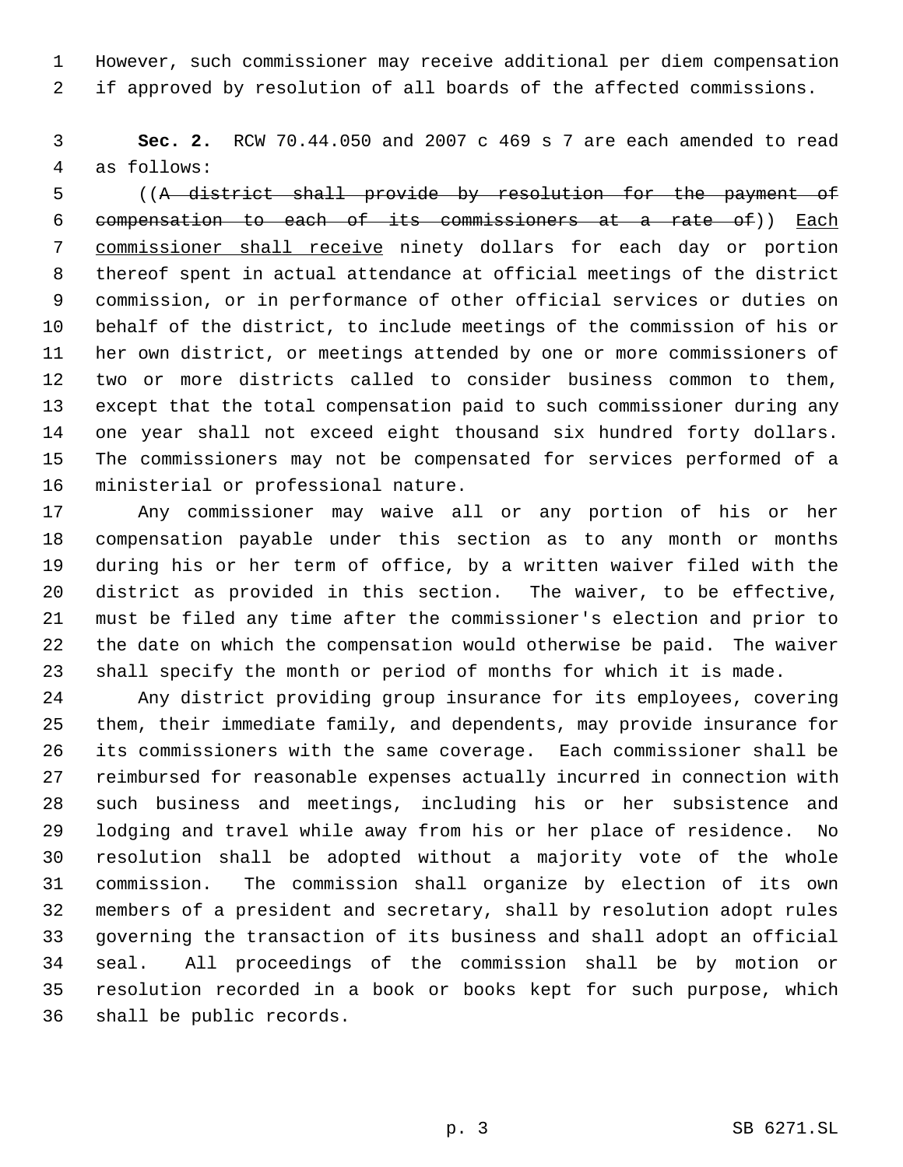However, such commissioner may receive additional per diem compensation if approved by resolution of all boards of the affected commissions.

 **Sec. 2.** RCW 70.44.050 and 2007 c 469 s 7 are each amended to read as follows:

 ((A district shall provide by resolution for the payment of compensation to each of its commissioners at a rate of)) Each commissioner shall receive ninety dollars for each day or portion thereof spent in actual attendance at official meetings of the district commission, or in performance of other official services or duties on behalf of the district, to include meetings of the commission of his or her own district, or meetings attended by one or more commissioners of two or more districts called to consider business common to them, except that the total compensation paid to such commissioner during any one year shall not exceed eight thousand six hundred forty dollars. The commissioners may not be compensated for services performed of a ministerial or professional nature.

 Any commissioner may waive all or any portion of his or her compensation payable under this section as to any month or months during his or her term of office, by a written waiver filed with the district as provided in this section. The waiver, to be effective, must be filed any time after the commissioner's election and prior to the date on which the compensation would otherwise be paid. The waiver shall specify the month or period of months for which it is made.

 Any district providing group insurance for its employees, covering them, their immediate family, and dependents, may provide insurance for its commissioners with the same coverage. Each commissioner shall be reimbursed for reasonable expenses actually incurred in connection with such business and meetings, including his or her subsistence and lodging and travel while away from his or her place of residence. No resolution shall be adopted without a majority vote of the whole commission. The commission shall organize by election of its own members of a president and secretary, shall by resolution adopt rules governing the transaction of its business and shall adopt an official seal. All proceedings of the commission shall be by motion or resolution recorded in a book or books kept for such purpose, which shall be public records.